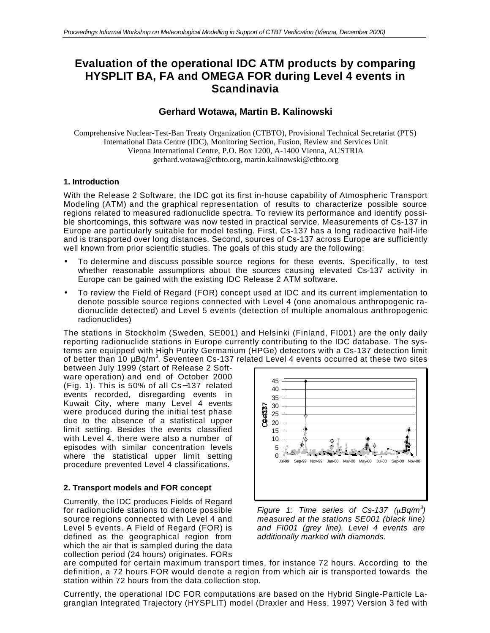# **Evaluation of the operational IDC ATM products by comparing HYSPLIT BA, FA and OMEGA FOR during Level 4 events in Scandinavia**

# **Gerhard Wotawa, Martin B. Kalinowski**

Comprehensive Nuclear-Test-Ban Treaty Organization (CTBTO), Provisional Technical Secretariat (PTS) International Data Centre (IDC), Monitoring Section, Fusion, Review and Services Unit Vienna International Centre, P.O. Box 1200, A-1400 Vienna, AUSTRIA gerhard.wotawa@ctbto.org, martin.kalinowski@ctbto.org

# **1. Introduction**

With the Release 2 Software, the IDC got its first in-house capability of Atmospheric Transport Modeling (ATM) and the graphical representation of results to characterize possible source regions related to measured radionuclide spectra. To review its performance and identify possible shortcomings, this software was now tested in practical service. Measurements of Cs-137 in Europe are particularly suitable for model testing. First, Cs-137 has a long radioactive half-life and is transported over long distances. Second, sources of Cs-137 across Europe are sufficiently well known from prior scientific studies. The goals of this study are the following:

- To determine and discuss possible source regions for these events. Specifically, to test whether reasonable assumptions about the sources causing elevated Cs-137 activity in Europe can be gained with the existing IDC Release 2 ATM software.
- To review the Field of Regard (FOR) concept used at IDC and its current implementation to denote possible source regions connected with Level 4 (one anomalous anthropogenic radionuclide detected) and Level 5 events (detection of multiple anomalous anthropogenic radionuclides)

The stations in Stockholm (Sweden, SE001) and Helsinki (Finland, FI001) are the only daily reporting radionuclide stations in Europe currently contributing to the IDC database. The systems are equipped with High Purity Germanium (HPGe) detectors with a Cs-137 detection limit of better than 10 μBq/m $^3$ . Seventeen Cs-137 related Level 4 events occurred at these two sites

between July 1999 (start of Release 2 Software operation) and end of October 2000 (Fig. 1). This is 50% of all Cs−137 related events recorded, disregarding events in Kuwait City, where many Level 4 events were produced during the initial test phase due to the absence of a statistical upper limit setting. Besides the events classified with Level 4, there were also a number of episodes with similar concentration levels where the statistical upper limit setting procedure prevented Level 4 classifications.

# **2. Transport models and FOR concept**

Currently, the IDC produces Fields of Regard for radionuclide stations to denote possible source regions connected with Level 4 and Level 5 events. A Field of Regard (FOR) is defined as the geographical region from which the air that is sampled during the data collection period (24 hours) originates. FORs



*Figure 1: Time series of Cs-137*  $(\mu Bq/m^3)$ *measured at the stations SE001 (black line) and FI001 (grey line). Level 4 events are additionally marked with diamonds.*

are computed for certain maximum transport times, for instance 72 hours. According to the definition, a 72 hours FOR would denote a region from which air is transported towards the station within 72 hours from the data collection stop.

Currently, the operational IDC FOR computations are based on the Hybrid Single-Particle Lagrangian Integrated Trajectory (HYSPLIT) model (Draxler and Hess, 1997) Version 3 fed with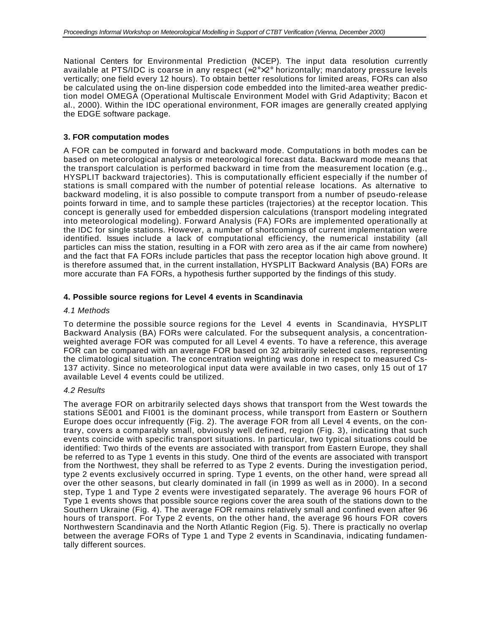National Centers for Environmental Prediction (NCEP). The input data resolution currently available at PTS/IDC is coarse in any respect ( $2^{\degree} \times 2^{\degree}$  horizontally; mandatory pressure levels vertically; one field every 12 hours). To obtain better resolutions for limited areas, FORs can also be calculated using the on-line dispersion code embedded into the limited-area weather prediction model OMEGA (Operational Multiscale Environment Model with Grid Adaptivity; Bacon et al., 2000). Within the IDC operational environment, FOR images are generally created applying the EDGE software package.

#### **3. FOR computation modes**

A FOR can be computed in forward and backward mode. Computations in both modes can be based on meteorological analysis or meteorological forecast data. Backward mode means that the transport calculation is performed backward in time from the measurement location (e.g., HYSPLIT backward trajectories). This is computationally efficient especially if the number of stations is small compared with the number of potential release locations. As alternative to backward modeling, it is also possible to compute transport from a number of pseudo-release points forward in time, and to sample these particles (trajectories) at the receptor location. This concept is generally used for embedded dispersion calculations (transport modeling integrated into meteorological modeling). Forward Analysis (FA) FORs are implemented operationally at the IDC for single stations. However, a number of shortcomings of current implementation were identified. Issues include a lack of computational efficiency, the numerical instability (all particles can miss the station, resulting in a FOR with zero area as if the air came from nowhere) and the fact that FA FORs include particles that pass the receptor location high above ground. It is therefore assumed that, in the current installation, HYSPLIT Backward Analysis (BA) FORs are more accurate than FA FORs, a hypothesis further supported by the findings of this study.

#### **4. Possible source regions for Level 4 events in Scandinavia**

#### *4.1 Methods*

To determine the possible source regions for the Level 4 events in Scandinavia, HYSPLIT Backward Analysis (BA) FORs were calculated. For the subsequent analysis, a concentrationweighted average FOR was computed for all Level 4 events. To have a reference, this average FOR can be compared with an average FOR based on 32 arbitrarily selected cases, representing the climatological situation. The concentration weighting was done in respect to measured Cs-137 activity. Since no meteorological input data were available in two cases, only 15 out of 17 available Level 4 events could be utilized.

#### *4.2 Results*

The average FOR on arbitrarily selected days shows that transport from the West towards the stations SE001 and FI001 is the dominant process, while transport from Eastern or Southern Europe does occur infrequently (Fig. 2). The average FOR from all Level 4 events, on the contrary, covers a comparably small, obviously well defined, region (Fig. 3), indicating that such events coincide with specific transport situations. In particular, two typical situations could be identified: Two thirds of the events are associated with transport from Eastern Europe, they shall be referred to as Type 1 events in this study. One third of the events are associated with transport from the Northwest, they shall be referred to as Type 2 events. During the investigation period, type 2 events exclusively occurred in spring. Type 1 events, on the other hand, were spread all over the other seasons, but clearly dominated in fall (in 1999 as well as in 2000). In a second step, Type 1 and Type 2 events were investigated separately. The average 96 hours FOR of Type 1 events shows that possible source regions cover the area south of the stations down to the Southern Ukraine (Fig. 4). The average FOR remains relatively small and confined even after 96 hours of transport. For Type 2 events, on the other hand, the average 96 hours FOR covers Northwestern Scandinavia and the North Atlantic Region (Fig. 5). There is practically no overlap between the average FORs of Type 1 and Type 2 events in Scandinavia, indicating fundamentally different sources.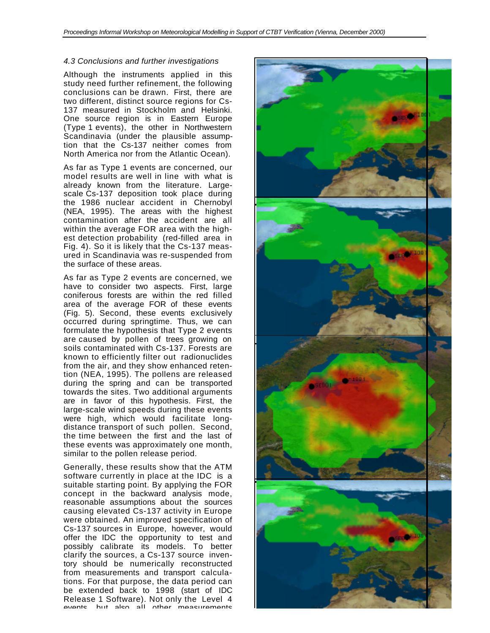#### *4.3 Conclusions and further investigations*

Although the instruments applied in this study need further refinement, the following conclusions can be drawn. First, there are two different, distinct source regions for Cs-137 measured in Stockholm and Helsinki. One source region is in Eastern Europe (Type 1 events), the other in Northwestern Scandinavia (under the plausible assumption that the Cs-137 neither comes from North America nor from the Atlantic Ocean).

As far as Type 1 events are concerned, our model results are well in line with what is already known from the literature. Largescale Cs-137 deposition took place during the 1986 nuclear accident in Chernobyl (NEA, 1995). The areas with the highest contamination after the accident are all within the average FOR area with the highest detection probability (red-filled area in Fig. 4). So it is likely that the Cs-137 measured in Scandinavia was re-suspended from the surface of these areas.

As far as Type 2 events are concerned, we have to consider two aspects. First, large coniferous forests are within the red filled area of the average FOR of these events (Fig. 5). Second, these events exclusively occurred during springtime. Thus, we can formulate the hypothesis that Type 2 events are caused by pollen of trees growing on soils contaminated with Cs-137. Forests are known to efficiently filter out radionuclides from the air, and they show enhanced retention (NEA, 1995). The pollens are released during the spring and can be transported towards the sites. Two additional arguments are in favor of this hypothesis. First, the large-scale wind speeds during these events were high, which would facilitate longdistance transport of such pollen. Second, the time between the first and the last of these events was approximately one month, similar to the pollen release period.

Generally, these results show that the ATM software currently in place at the IDC is a suitable starting point. By applying the FOR concept in the backward analysis mode, reasonable assumptions about the sources causing elevated Cs-137 activity in Europe were obtained. An improved specification of Cs-137 sources in Europe, however, would offer the IDC the opportunity to test and possibly calibrate its models. To better clarify the sources, a Cs-137 source inventory should be numerically reconstructed from measurements and transport calculations. For that purpose, the data period can be extended back to 1998 (start of IDC Release 1 Software). Not only the Level 4 events, but also all other measurements

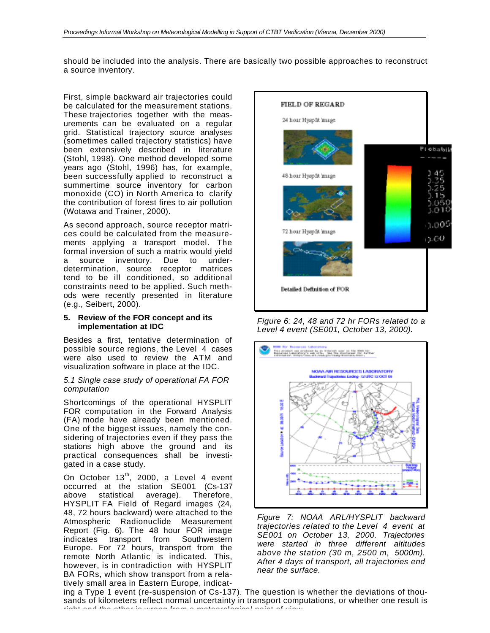should be included into the analysis. There are basically two possible approaches to reconstruct a source inventory.

First, simple backward air trajectories could be calculated for the measurement stations. These trajectories together with the measurements can be evaluated on a regular grid. Statistical trajectory source analyses (sometimes called trajectory statistics) have been extensively described in literature (Stohl, 1998). One method developed some years ago (Stohl, 1996) has, for example, been successfully applied to reconstruct a summertime source inventory for carbon monoxide (CO) in North America to clarify the contribution of forest fires to air pollution (Wotawa and Trainer, 2000).

As second approach, source receptor matrices could be calculated from the measurements applying a transport model. The formal inversion of such a matrix would yield a source inventory. Due to underdetermination, source receptor matrices tend to be ill conditioned, so additional constraints need to be applied. Such methods were recently presented in literature (e.g., Seibert, 2000).

#### **5. Review of the FOR concept and its implementation at IDC**

Besides a first, tentative determination of possible source regions, the Level 4 cases were also used to review the ATM and visualization software in place at the IDC.

#### *5.1 Single case study of operational FA FOR computation*

Shortcomings of the operational HYSPLIT FOR computation in the Forward Analysis (FA) mode have already been mentioned. One of the biggest issues, namely the considering of trajectories even if they pass the stations high above the ground and its practical consequences shall be investigated in a case study.

On October  $13<sup>th</sup>$ , 2000, a Level 4 event occurred at the station SE001 (Cs-137 above statistical average). Therefore, HYSPLIT FA Field of Regard images (24, 48, 72 hours backward) were attached to the Atmospheric Radionuclide Measurement Report (Fig. 6). The 48 hour FOR image indicates transport from Southwestern Europe. For 72 hours, transport from the remote North Atlantic is indicated. This, however, is in contradiction with HYSPLIT BA FORs, which show transport from a relatively small area in Eastern Europe, indicat-



*Figure 6: 24, 48 and 72 hr FORs related to a Level 4 event (SE001, October 13, 2000).*



*Figure 7: NOAA ARL/HYSPLIT backward trajectories related to the Level 4 event at SE001 on October 13, 2000. Trajectories were started in three different altitudes above the station (30 m, 2500 m, 5000m). After 4 days of transport, all trajectories end near the surface.*

ing a Type 1 event (re-suspension of Cs-137). The question is whether the deviations of thousands of kilometers reflect normal uncertainty in transport computations, or whether one result is right and the other is wrong from a meteorological point of view.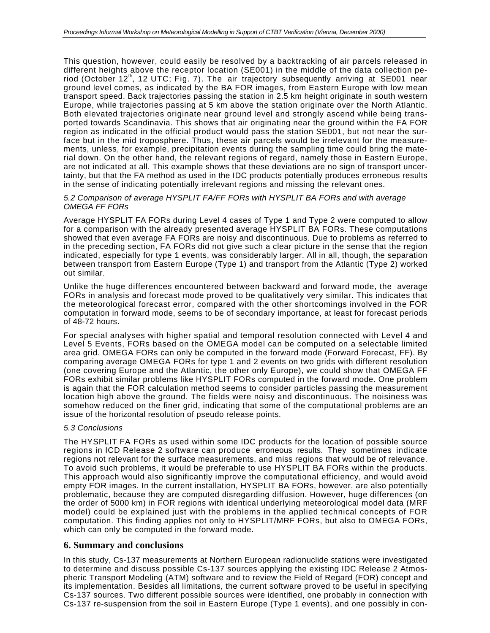This question, however, could easily be resolved by a backtracking of air parcels released in different heights above the receptor location (SE001) in the middle of the data collection period (October 12<sup>th</sup>, 12 UTC; Fig. 7). The air trajectory subsequently arriving at SE001 near ground level comes, as indicated by the BA FOR images, from Eastern Europe with low mean transport speed. Back trajectories passing the station in 2.5 km height originate in south western Europe, while trajectories passing at 5 km above the station originate over the North Atlantic. Both elevated trajectories originate near ground level and strongly ascend while being transported towards Scandinavia. This shows that air originating near the ground within the FA FOR region as indicated in the official product would pass the station SE001, but not near the surface but in the mid troposphere. Thus, these air parcels would be irrelevant for the measurements, unless, for example, precipitation events during the sampling time could bring the material down. On the other hand, the relevant regions of regard, namely those in Eastern Europe, are not indicated at all. This example shows that these deviations are no sign of transport uncertainty, but that the FA method as used in the IDC products potentially produces erroneous results in the sense of indicating potentially irrelevant regions and missing the relevant ones.

#### *5.2 Comparison of average HYSPLIT FA/FF FORs with HYSPLIT BA FORs and with average OMEGA FF FORs*

Average HYSPLIT FA FORs during Level 4 cases of Type 1 and Type 2 were computed to allow for a comparison with the already presented average HYSPLIT BA FORs. These computations showed that even average FA FORs are noisy and discontinuous. Due to problems as referred to in the preceding section, FA FORs did not give such a clear picture in the sense that the region indicated, especially for type 1 events, was considerably larger. All in all, though, the separation between transport from Eastern Europe (Type 1) and transport from the Atlantic (Type 2) worked out similar.

Unlike the huge differences encountered between backward and forward mode, the average FORs in analysis and forecast mode proved to be qualitatively very similar. This indicates that the meteorological forecast error, compared with the other shortcomings involved in the FOR computation in forward mode, seems to be of secondary importance, at least for forecast periods of 48-72 hours.

For special analyses with higher spatial and temporal resolution connected with Level 4 and Level 5 Events, FORs based on the OMEGA model can be computed on a selectable limited area grid. OMEGA FORs can only be computed in the forward mode (Forward Forecast, FF). By comparing average OMEGA FORs for type 1 and 2 events on two grids with different resolution (one covering Europe and the Atlantic, the other only Europe), we could show that OMEGA FF FORs exhibit similar problems like HYSPLIT FORs computed in the forward mode. One problem is again that the FOR calculation method seems to consider particles passing the measurement location high above the ground. The fields were noisy and discontinuous. The noisiness was somehow reduced on the finer grid, indicating that some of the computational problems are an issue of the horizontal resolution of pseudo release points.

#### *5.3 Conclusions*

The HYSPLIT FA FORs as used within some IDC products for the location of possible source regions in ICD Release 2 software can produce erroneous results. They sometimes indicate regions not relevant for the surface measurements, and miss regions that would be of relevance. To avoid such problems, it would be preferable to use HYSPLIT BA FORs within the products. This approach would also significantly improve the computational efficiency, and would avoid empty FOR images. In the current installation, HYSPLIT BA FORs, however, are also potentially problematic, because they are computed disregarding diffusion. However, huge differences (on the order of 5000 km) in FOR regions with identical underlying meteorological model data (MRF model) could be explained just with the problems in the applied technical concepts of FOR computation. This finding applies not only to HYSPLIT/MRF FORs, but also to OMEGA FORs, which can only be computed in the forward mode.

### **6. Summary and conclusions**

In this study, Cs-137 measurements at Northern European radionuclide stations were investigated to determine and discuss possible Cs-137 sources applying the existing IDC Release 2 Atmospheric Transport Modeling (ATM) software and to review the Field of Regard (FOR) concept and its implementation. Besides all limitations, the current software proved to be useful in specifying Cs-137 sources. Two different possible sources were identified, one probably in connection with Cs-137 re-suspension from the soil in Eastern Europe (Type 1 events), and one possibly in con-